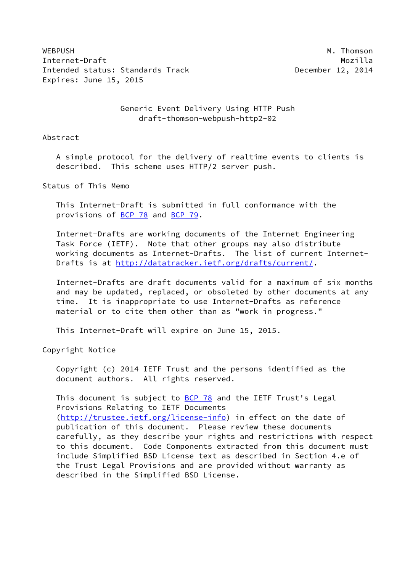WEBPUSH M. Thomson M. Thomson M. Thomson M. Thomson M. Thomson M. Thomson M. Thomson M. Thomson M. Thomson M. Thomson M. Thomson M. Thomson M. Thomson M. Thomson M. Thomson M. Thomson M. Thomson M. Thomson M. Thomson M. Th Internet-Draft Mozilla Intended status: Standards Track December 12, 2014 Expires: June 15, 2015

## Generic Event Delivery Using HTTP Push draft-thomson-webpush-http2-02

Abstract

 A simple protocol for the delivery of realtime events to clients is described. This scheme uses HTTP/2 server push.

Status of This Memo

 This Internet-Draft is submitted in full conformance with the provisions of [BCP 78](https://datatracker.ietf.org/doc/pdf/bcp78) and [BCP 79](https://datatracker.ietf.org/doc/pdf/bcp79).

 Internet-Drafts are working documents of the Internet Engineering Task Force (IETF). Note that other groups may also distribute working documents as Internet-Drafts. The list of current Internet- Drafts is at<http://datatracker.ietf.org/drafts/current/>.

 Internet-Drafts are draft documents valid for a maximum of six months and may be updated, replaced, or obsoleted by other documents at any time. It is inappropriate to use Internet-Drafts as reference material or to cite them other than as "work in progress."

This Internet-Draft will expire on June 15, 2015.

Copyright Notice

 Copyright (c) 2014 IETF Trust and the persons identified as the document authors. All rights reserved.

This document is subject to  $BCP$  78 and the IETF Trust's Legal Provisions Relating to IETF Documents [\(http://trustee.ietf.org/license-info](http://trustee.ietf.org/license-info)) in effect on the date of publication of this document. Please review these documents carefully, as they describe your rights and restrictions with respect to this document. Code Components extracted from this document must include Simplified BSD License text as described in Section 4.e of the Trust Legal Provisions and are provided without warranty as described in the Simplified BSD License.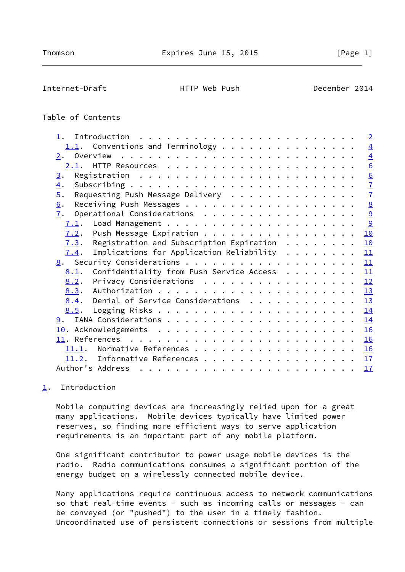<span id="page-1-1"></span>Internet-Draft HTTP Web Push December 2014

# Table of Contents

| 1.                                                                                                                                                                                                                                                                                                                                                                                                                                                                            | $\overline{2}$        |
|-------------------------------------------------------------------------------------------------------------------------------------------------------------------------------------------------------------------------------------------------------------------------------------------------------------------------------------------------------------------------------------------------------------------------------------------------------------------------------|-----------------------|
| $1.1.$ Conventions and Terminology                                                                                                                                                                                                                                                                                                                                                                                                                                            | $\overline{4}$        |
|                                                                                                                                                                                                                                                                                                                                                                                                                                                                               | $\overline{4}$        |
| 2.1.                                                                                                                                                                                                                                                                                                                                                                                                                                                                          | 6                     |
| 3.                                                                                                                                                                                                                                                                                                                                                                                                                                                                            | 6                     |
| $\overline{4}$ .                                                                                                                                                                                                                                                                                                                                                                                                                                                              | $\overline{1}$        |
| Requesting Push Message Delivery<br>$\overline{5}$ .                                                                                                                                                                                                                                                                                                                                                                                                                          | $\overline{1}$        |
| 6.                                                                                                                                                                                                                                                                                                                                                                                                                                                                            | $\underline{8}$       |
| Operational Considerations<br>7.                                                                                                                                                                                                                                                                                                                                                                                                                                              | $\overline{\partial}$ |
| 7.1.                                                                                                                                                                                                                                                                                                                                                                                                                                                                          | 9                     |
| Push Message Expiration<br>7.2.                                                                                                                                                                                                                                                                                                                                                                                                                                               | 10                    |
| Registration and Subscription Expiration $\dots \dots$<br>7.3.                                                                                                                                                                                                                                                                                                                                                                                                                | 10                    |
| Implications for Application Reliability $\dots \dots$<br>7.4.                                                                                                                                                                                                                                                                                                                                                                                                                | 11                    |
|                                                                                                                                                                                                                                                                                                                                                                                                                                                                               | 11                    |
| Confidentiality from Push Service Access<br>8.1.                                                                                                                                                                                                                                                                                                                                                                                                                              | 11                    |
| Privacy Considerations<br>8.2.                                                                                                                                                                                                                                                                                                                                                                                                                                                | 12                    |
| 8.3.                                                                                                                                                                                                                                                                                                                                                                                                                                                                          | 13                    |
| Denial of Service Considerations<br>8.4.                                                                                                                                                                                                                                                                                                                                                                                                                                      | 13                    |
| 8.5.                                                                                                                                                                                                                                                                                                                                                                                                                                                                          | 14                    |
|                                                                                                                                                                                                                                                                                                                                                                                                                                                                               | 14                    |
|                                                                                                                                                                                                                                                                                                                                                                                                                                                                               | 16                    |
|                                                                                                                                                                                                                                                                                                                                                                                                                                                                               | 16                    |
| $11.1$ . Normative References 16                                                                                                                                                                                                                                                                                                                                                                                                                                              |                       |
| Informative References<br>11.2.                                                                                                                                                                                                                                                                                                                                                                                                                                               | 17                    |
| Author's Address<br>$\mathbf{r}^{\prime}=\mathbf{r}^{\prime}=\mathbf{r}^{\prime}=\mathbf{r}^{\prime}=\mathbf{r}^{\prime}=\mathbf{r}^{\prime}=\mathbf{r}^{\prime}=\mathbf{r}^{\prime}=\mathbf{r}^{\prime}=\mathbf{r}^{\prime}=\mathbf{r}^{\prime}=\mathbf{r}^{\prime}=\mathbf{r}^{\prime}=\mathbf{r}^{\prime}=\mathbf{r}^{\prime}=\mathbf{r}^{\prime}=\mathbf{r}^{\prime}=\mathbf{r}^{\prime}=\mathbf{r}^{\prime}=\mathbf{r}^{\prime}=\mathbf{r}^{\prime}=\mathbf{r}^{\prime}$ | 17                    |

## <span id="page-1-0"></span>[1](#page-1-0). Introduction

 Mobile computing devices are increasingly relied upon for a great many applications. Mobile devices typically have limited power reserves, so finding more efficient ways to serve application requirements is an important part of any mobile platform.

 One significant contributor to power usage mobile devices is the radio. Radio communications consumes a significant portion of the energy budget on a wirelessly connected mobile device.

 Many applications require continuous access to network communications so that real-time events - such as incoming calls or messages - can be conveyed (or "pushed") to the user in a timely fashion. Uncoordinated use of persistent connections or sessions from multiple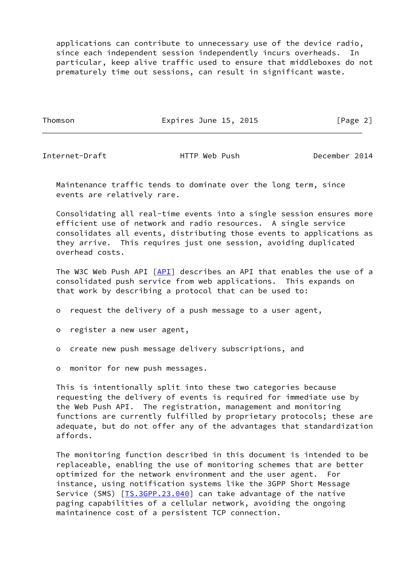applications can contribute to unnecessary use of the device radio, since each independent session independently incurs overheads. In particular, keep alive traffic used to ensure that middleboxes do not prematurely time out sessions, can result in significant waste.

Thomson **Expires June 15, 2015** [Page 2]

Internet-Draft HTTP Web Push December 2014

 Maintenance traffic tends to dominate over the long term, since events are relatively rare.

 Consolidating all real-time events into a single session ensures more efficient use of network and radio resources. A single service consolidates all events, distributing those events to applications as they arrive. This requires just one session, avoiding duplicated overhead costs.

The W3C Web Push API [\[API](#page-18-2)] describes an API that enables the use of a consolidated push service from web applications. This expands on that work by describing a protocol that can be used to:

o request the delivery of a push message to a user agent,

o register a new user agent,

o create new push message delivery subscriptions, and

o monitor for new push messages.

 This is intentionally split into these two categories because requesting the delivery of events is required for immediate use by the Web Push API. The registration, management and monitoring functions are currently fulfilled by proprietary protocols; these are adequate, but do not offer any of the advantages that standardization affords.

 The monitoring function described in this document is intended to be replaceable, enabling the use of monitoring schemes that are better optimized for the network environment and the user agent. For instance, using notification systems like the 3GPP Short Message Service (SMS) [IS.3GPP.23.040] can take advantage of the native paging capabilities of a cellular network, avoiding the ongoing maintainence cost of a persistent TCP connection.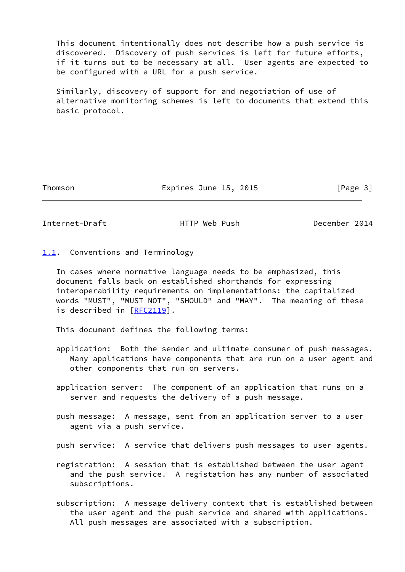This document intentionally does not describe how a push service is discovered. Discovery of push services is left for future efforts, if it turns out to be necessary at all. User agents are expected to be configured with a URL for a push service.

 Similarly, discovery of support for and negotiation of use of alternative monitoring schemes is left to documents that extend this basic protocol.

Thomson **Expires June 15, 2015** [Page 3]

<span id="page-3-1"></span>Internet-Draft **HTTP** Web Push December 2014

<span id="page-3-0"></span>[1.1](#page-3-0). Conventions and Terminology

 In cases where normative language needs to be emphasized, this document falls back on established shorthands for expressing interoperability requirements on implementations: the capitalized words "MUST", "MUST NOT", "SHOULD" and "MAY". The meaning of these is described in [\[RFC2119](https://datatracker.ietf.org/doc/pdf/rfc2119)].

This document defines the following terms:

- application: Both the sender and ultimate consumer of push messages. Many applications have components that are run on a user agent and other components that run on servers.
- application server: The component of an application that runs on a server and requests the delivery of a push message.
- push message: A message, sent from an application server to a user agent via a push service.

push service: A service that delivers push messages to user agents.

- registration: A session that is established between the user agent and the push service. A registation has any number of associated subscriptions.
- subscription: A message delivery context that is established between the user agent and the push service and shared with applications. All push messages are associated with a subscription.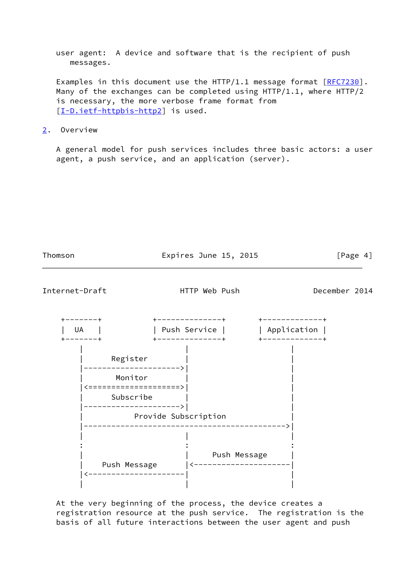user agent: A device and software that is the recipient of push messages.

Examples in this document use the HTTP/1.1 message format [[RFC7230](https://datatracker.ietf.org/doc/pdf/rfc7230)]. Many of the exchanges can be completed using HTTP/1.1, where HTTP/2 is necessary, the more verbose frame format from [\[I-D.ietf-httpbis-http2](#page-17-4)] is used.

<span id="page-4-0"></span>[2](#page-4-0). Overview

 A general model for push services includes three basic actors: a user agent, a push service, and an application (server).



 At the very beginning of the process, the device creates a registration resource at the push service. The registration is the basis of all future interactions between the user agent and push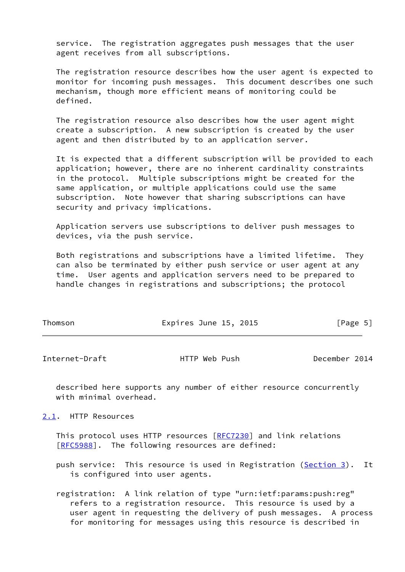service. The registration aggregates push messages that the user agent receives from all subscriptions.

 The registration resource describes how the user agent is expected to monitor for incoming push messages. This document describes one such mechanism, though more efficient means of monitoring could be defined.

 The registration resource also describes how the user agent might create a subscription. A new subscription is created by the user agent and then distributed by to an application server.

 It is expected that a different subscription will be provided to each application; however, there are no inherent cardinality constraints in the protocol. Multiple subscriptions might be created for the same application, or multiple applications could use the same subscription. Note however that sharing subscriptions can have security and privacy implications.

 Application servers use subscriptions to deliver push messages to devices, via the push service.

 Both registrations and subscriptions have a limited lifetime. They can also be terminated by either push service or user agent at any time. User agents and application servers need to be prepared to handle changes in registrations and subscriptions; the protocol

| Thomson | Expires June 15, 2015 |  | [Page 5] |  |
|---------|-----------------------|--|----------|--|
|         |                       |  |          |  |

<span id="page-5-1"></span>Internet-Draft HTTP Web Push December 2014

 described here supports any number of either resource concurrently with minimal overhead.

<span id="page-5-0"></span>[2.1](#page-5-0). HTTP Resources

This protocol uses HTTP resources [[RFC7230](https://datatracker.ietf.org/doc/pdf/rfc7230)] and link relations [\[RFC5988](https://datatracker.ietf.org/doc/pdf/rfc5988)]. The following resources are defined:

push service: This resource is used in Registration [\(Section 3\)](#page-6-0). It is configured into user agents.

 registration: A link relation of type "urn:ietf:params:push:reg" refers to a registration resource. This resource is used by a user agent in requesting the delivery of push messages. A process for monitoring for messages using this resource is described in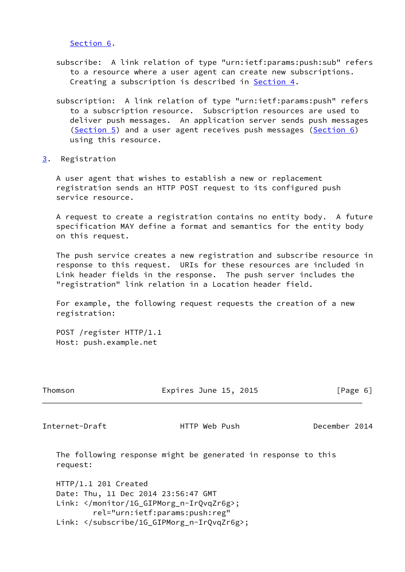[Section 6.](#page-8-0)

- subscribe: A link relation of type "urn:ietf:params:push:sub" refers to a resource where a user agent can create new subscriptions. Creating a subscription is described in **Section 4**.
- subscription: A link relation of type "urn:ietf:params:push" refers to a subscription resource. Subscription resources are used to deliver push messages. An application server sends push messages ([Section 5\)](#page-7-1) and a user agent receives push messages [\(Section 6](#page-8-0)) using this resource.
- <span id="page-6-0"></span>[3](#page-6-0). Registration

 A user agent that wishes to establish a new or replacement registration sends an HTTP POST request to its configured push service resource.

 A request to create a registration contains no entity body. A future specification MAY define a format and semantics for the entity body on this request.

 The push service creates a new registration and subscribe resource in response to this request. URIs for these resources are included in Link header fields in the response. The push server includes the "registration" link relation in a Location header field.

 For example, the following request requests the creation of a new registration:

 POST /register HTTP/1.1 Host: push.example.net

| Thomson | Expires June 15, 2015 | [Page 6] |
|---------|-----------------------|----------|
|         |                       |          |

<span id="page-6-1"></span>Internet-Draft HTTP Web Push December 2014

 The following response might be generated in response to this request:

 HTTP/1.1 201 Created Date: Thu, 11 Dec 2014 23:56:47 GMT Link: </monitor/1G\_GIPMorg\_n-IrQvqZr6g>; rel="urn:ietf:params:push:reg" Link: </subscribe/1G\_GIPMorg\_n-IrQvqZr6g>;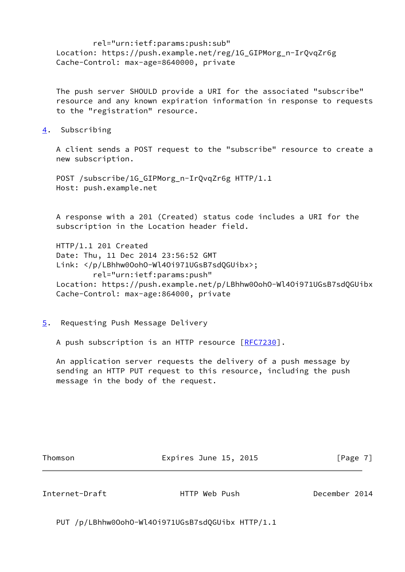rel="urn:ietf:params:push:sub" Location: https://push.example.net/reg/1G\_GIPMorg\_n-IrQvqZr6g Cache-Control: max-age=8640000, private

 The push server SHOULD provide a URI for the associated "subscribe" resource and any known expiration information in response to requests to the "registration" resource.

<span id="page-7-0"></span>[4](#page-7-0). Subscribing

 A client sends a POST request to the "subscribe" resource to create a new subscription.

 POST /subscribe/1G\_GIPMorg\_n-IrQvqZr6g HTTP/1.1 Host: push.example.net

 A response with a 201 (Created) status code includes a URI for the subscription in the Location header field.

 HTTP/1.1 201 Created Date: Thu, 11 Dec 2014 23:56:52 GMT Link: </p/LBhhw0OohO-Wl4Oi971UGsB7sdQGUibx>; rel="urn:ietf:params:push" Location: https://push.example.net/p/LBhhw0OohO-Wl4Oi971UGsB7sdQGUibx Cache-Control: max-age:864000, private

<span id="page-7-1"></span>[5](#page-7-1). Requesting Push Message Delivery

A push subscription is an HTTP resource [\[RFC7230](https://datatracker.ietf.org/doc/pdf/rfc7230)].

 An application server requests the delivery of a push message by sending an HTTP PUT request to this resource, including the push message in the body of the request.

Thomson **Expires June 15, 2015** [Page 7]

<span id="page-7-2"></span>Internet-Draft HTTP Web Push December 2014

PUT /p/LBhhw0OohO-Wl4Oi971UGsB7sdQGUibx HTTP/1.1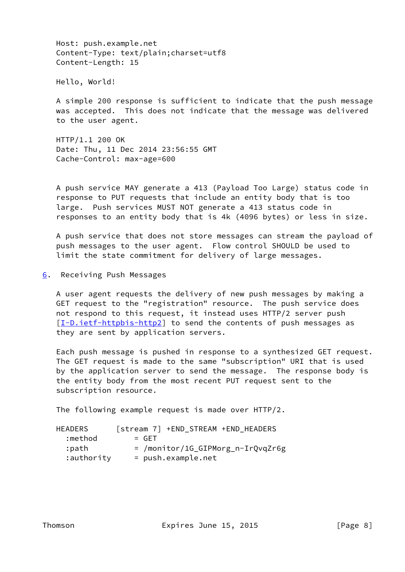Host: push.example.net Content-Type: text/plain;charset=utf8 Content-Length: 15

Hello, World!

 A simple 200 response is sufficient to indicate that the push message was accepted. This does not indicate that the message was delivered to the user agent.

 HTTP/1.1 200 OK Date: Thu, 11 Dec 2014 23:56:55 GMT Cache-Control: max-age=600

 A push service MAY generate a 413 (Payload Too Large) status code in response to PUT requests that include an entity body that is too large. Push services MUST NOT generate a 413 status code in responses to an entity body that is 4k (4096 bytes) or less in size.

 A push service that does not store messages can stream the payload of push messages to the user agent. Flow control SHOULD be used to limit the state commitment for delivery of large messages.

<span id="page-8-0"></span>[6](#page-8-0). Receiving Push Messages

 A user agent requests the delivery of new push messages by making a GET request to the "registration" resource. The push service does not respond to this request, it instead uses HTTP/2 server push [\[I-D.ietf-httpbis-http2](#page-17-4)] to send the contents of push messages as they are sent by application servers.

 Each push message is pushed in response to a synthesized GET request. The GET request is made to the same "subscription" URI that is used by the application server to send the message. The response body is the entity body from the most recent PUT request sent to the subscription resource.

The following example request is made over HTTP/2.

| <b>HEADERS</b> | [stream 7] +END STREAM +END HEADERS |
|----------------|-------------------------------------|
| :method        | $=$ GFT                             |
| :path          | = /monitor/1G_GIPMorg_n-IrQvqZr6g   |
| :authority     | = push.example.net                  |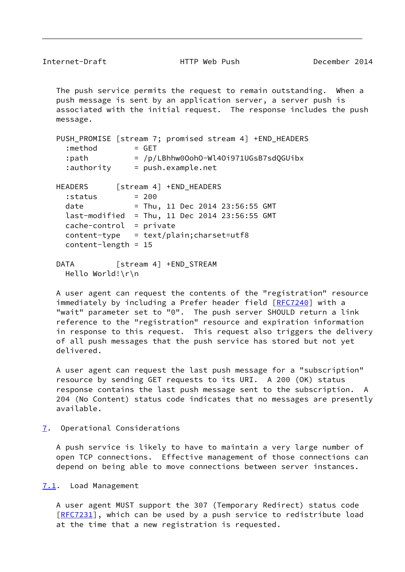<span id="page-9-1"></span> The push service permits the request to remain outstanding. When a push message is sent by an application server, a server push is associated with the initial request. The response includes the push message.

| PUSH_PROMISE [stream 7; promised stream 4] +END_HEADERS |
|---------------------------------------------------------|
| :method<br>$=$ GET                                      |
| $=$ /p/LBhhw00oh0-Wl40i971UGsB7sdQGUibx<br>:path        |
| $:$ authority $=$ push.example.net                      |
| HEADERS<br>[stream 4] +END_HEADERS                      |
| $= 200$<br>:status                                      |
| date<br>= Thu, 11 Dec 2014 23:56:55 GMT                 |
| $last-modified = Thu, 11 Dec 2014 23:56:55 GMT$         |
| $cache-control = private$                               |
| $content-type = text/plain; character=utf8$             |
| $content$ -length = 15                                  |
| [stream 4] +END STREAM<br><b>DATA</b>                   |
| Hello World!\r\n                                        |

 A user agent can request the contents of the "registration" resource immediately by including a Prefer header field [\[RFC7240](https://datatracker.ietf.org/doc/pdf/rfc7240)] with a "wait" parameter set to "0". The push server SHOULD return a link reference to the "registration" resource and expiration information in response to this request. This request also triggers the delivery of all push messages that the push service has stored but not yet delivered.

 A user agent can request the last push message for a "subscription" resource by sending GET requests to its URI. A 200 (OK) status response contains the last push message sent to the subscription. A 204 (No Content) status code indicates that no messages are presently available.

<span id="page-9-0"></span>[7](#page-9-0). Operational Considerations

 A push service is likely to have to maintain a very large number of open TCP connections. Effective management of those connections can depend on being able to move connections between server instances.

<span id="page-9-2"></span>[7.1](#page-9-2). Load Management

 A user agent MUST support the 307 (Temporary Redirect) status code [\[RFC7231](https://datatracker.ietf.org/doc/pdf/rfc7231)], which can be used by a push service to redistribute load at the time that a new registration is requested.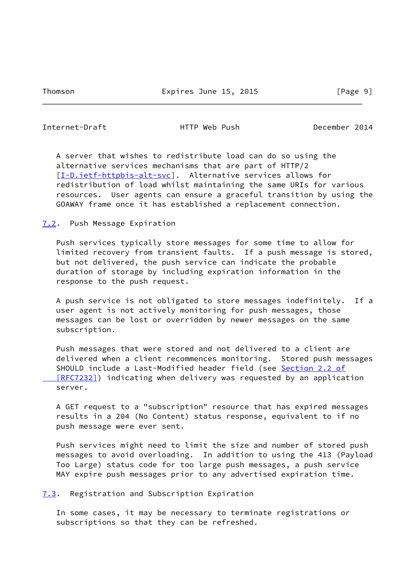<span id="page-10-1"></span>Internet-Draft HTTP Web Push December 2014

 A server that wishes to redistribute load can do so using the alternative services mechanisms that are part of HTTP/2 [\[I-D.ietf-httpbis-alt-svc](#page-17-5)]. Alternative services allows for redistribution of load whilst maintaining the same URIs for various resources. User agents can ensure a graceful transition by using the GOAWAY frame once it has established a replacement connection.

<span id="page-10-0"></span>[7.2](#page-10-0). Push Message Expiration

 Push services typically store messages for some time to allow for limited recovery from transient faults. If a push message is stored, but not delivered, the push service can indicate the probable duration of storage by including expiration information in the response to the push request.

 A push service is not obligated to store messages indefinitely. If a user agent is not actively monitoring for push messages, those messages can be lost or overridden by newer messages on the same subscription.

 Push messages that were stored and not delivered to a client are delivered when a client recommences monitoring. Stored push messages SHOULD include a Last-Modified header field (see [Section](https://datatracker.ietf.org/doc/pdf/rfc7232#section-2.2) 2.2 of  [\[RFC7232\]](https://datatracker.ietf.org/doc/pdf/rfc7232#section-2.2)) indicating when delivery was requested by an application server.

 A GET request to a "subscription" resource that has expired messages results in a 204 (No Content) status response, equivalent to if no push message were ever sent.

 Push services might need to limit the size and number of stored push messages to avoid overloading. In addition to using the 413 (Payload Too Large) status code for too large push messages, a push service MAY expire push messages prior to any advertised expiration time.

<span id="page-10-2"></span>[7.3](#page-10-2). Registration and Subscription Expiration

 In some cases, it may be necessary to terminate registrations or subscriptions so that they can be refreshed.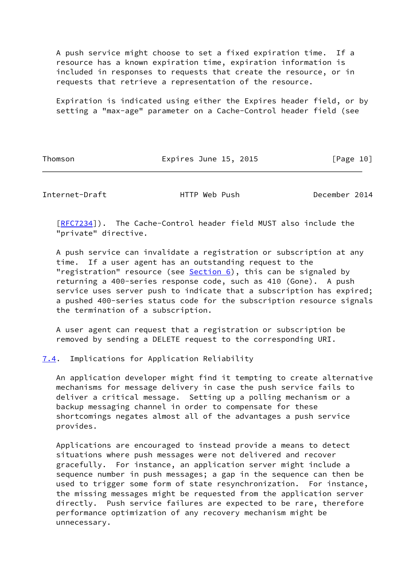A push service might choose to set a fixed expiration time. If a resource has a known expiration time, expiration information is included in responses to requests that create the resource, or in requests that retrieve a representation of the resource.

 Expiration is indicated using either the Expires header field, or by setting a "max-age" parameter on a Cache-Control header field (see

Thomson **Expires June 15, 2015** [Page 10]

<span id="page-11-1"></span>Internet-Draft **HTTP** Web Push December 2014

 [\[RFC7234](https://datatracker.ietf.org/doc/pdf/rfc7234)]). The Cache-Control header field MUST also include the "private" directive.

 A push service can invalidate a registration or subscription at any time. If a user agent has an outstanding request to the "registration" resource (see  $Section 6$ ), this can be signaled by returning a 400-series response code, such as 410 (Gone). A push service uses server push to indicate that a subscription has expired; a pushed 400-series status code for the subscription resource signals the termination of a subscription.

 A user agent can request that a registration or subscription be removed by sending a DELETE request to the corresponding URI.

<span id="page-11-0"></span>[7.4](#page-11-0). Implications for Application Reliability

 An application developer might find it tempting to create alternative mechanisms for message delivery in case the push service fails to deliver a critical message. Setting up a polling mechanism or a backup messaging channel in order to compensate for these shortcomings negates almost all of the advantages a push service provides.

 Applications are encouraged to instead provide a means to detect situations where push messages were not delivered and recover gracefully. For instance, an application server might include a sequence number in push messages; a gap in the sequence can then be used to trigger some form of state resynchronization. For instance, the missing messages might be requested from the application server directly. Push service failures are expected to be rare, therefore performance optimization of any recovery mechanism might be unnecessary.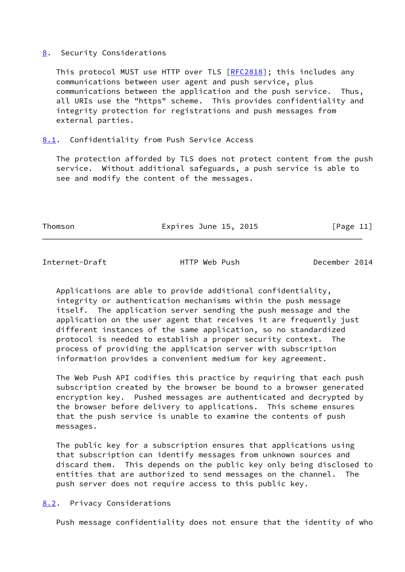#### <span id="page-12-0"></span>[8](#page-12-0). Security Considerations

This protocol MUST use HTTP over TLS [\[RFC2818](https://datatracker.ietf.org/doc/pdf/rfc2818)]; this includes any communications between user agent and push service, plus communications between the application and the push service. Thus, all URIs use the "https" scheme. This provides confidentiality and integrity protection for registrations and push messages from external parties.

### <span id="page-12-1"></span>[8.1](#page-12-1). Confidentiality from Push Service Access

 The protection afforded by TLS does not protect content from the push service. Without additional safeguards, a push service is able to see and modify the content of the messages.

Thomson **Expires June 15, 2015** [Page 11]

# <span id="page-12-3"></span>Internet-Draft **HTTP** Web Push December 2014

 Applications are able to provide additional confidentiality, integrity or authentication mechanisms within the push message itself. The application server sending the push message and the application on the user agent that receives it are frequently just different instances of the same application, so no standardized protocol is needed to establish a proper security context. The process of providing the application server with subscription information provides a convenient medium for key agreement.

 The Web Push API codifies this practice by requiring that each push subscription created by the browser be bound to a browser generated encryption key. Pushed messages are authenticated and decrypted by the browser before delivery to applications. This scheme ensures that the push service is unable to examine the contents of push messages.

 The public key for a subscription ensures that applications using that subscription can identify messages from unknown sources and discard them. This depends on the public key only being disclosed to entities that are authorized to send messages on the channel. The push server does not require access to this public key.

## <span id="page-12-2"></span>[8.2](#page-12-2). Privacy Considerations

Push message confidentiality does not ensure that the identity of who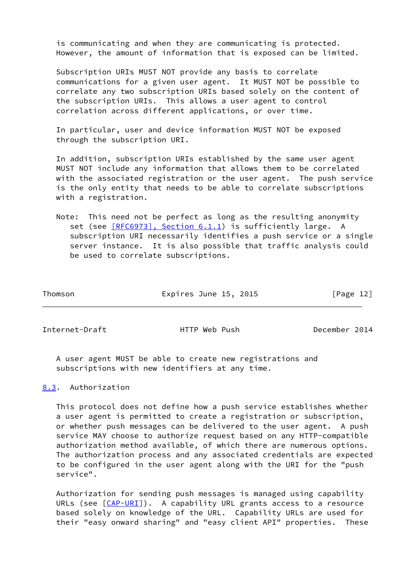is communicating and when they are communicating is protected. However, the amount of information that is exposed can be limited.

 Subscription URIs MUST NOT provide any basis to correlate communications for a given user agent. It MUST NOT be possible to correlate any two subscription URIs based solely on the content of the subscription URIs. This allows a user agent to control correlation across different applications, or over time.

 In particular, user and device information MUST NOT be exposed through the subscription URI.

 In addition, subscription URIs established by the same user agent MUST NOT include any information that allows them to be correlated with the associated registration or the user agent. The push service is the only entity that needs to be able to correlate subscriptions with a registration.

 Note: This need not be perfect as long as the resulting anonymity set (see [\[RFC6973\], Section](https://datatracker.ietf.org/doc/pdf/rfc6973#section-6.1.1) 6.1.1) is sufficiently large. A subscription URI necessarily identifies a push service or a single server instance. It is also possible that traffic analysis could be used to correlate subscriptions.

| Thomson | Expires June 15, 2015 | [Page 12] |  |
|---------|-----------------------|-----------|--|
|         |                       |           |  |

<span id="page-13-1"></span>Internet-Draft HTTP Web Push December 2014

 A user agent MUST be able to create new registrations and subscriptions with new identifiers at any time.

<span id="page-13-0"></span>[8.3](#page-13-0). Authorization

 This protocol does not define how a push service establishes whether a user agent is permitted to create a registration or subscription, or whether push messages can be delivered to the user agent. A push service MAY choose to authorize request based on any HTTP-compatible authorization method available, of which there are numerous options. The authorization process and any associated credentials are expected to be configured in the user agent along with the URI for the "push service".

 Authorization for sending push messages is managed using capability URLs (see  $[CAP-URI]$  $[CAP-URI]$  $[CAP-URI]$ ). A capability URL grants access to a resource based solely on knowledge of the URL. Capability URLs are used for their "easy onward sharing" and "easy client API" properties. These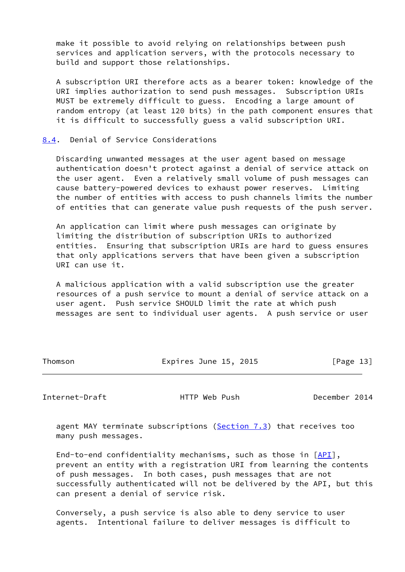make it possible to avoid relying on relationships between push services and application servers, with the protocols necessary to build and support those relationships.

 A subscription URI therefore acts as a bearer token: knowledge of the URI implies authorization to send push messages. Subscription URIs MUST be extremely difficult to guess. Encoding a large amount of random entropy (at least 120 bits) in the path component ensures that it is difficult to successfully guess a valid subscription URI.

#### <span id="page-14-0"></span>[8.4](#page-14-0). Denial of Service Considerations

 Discarding unwanted messages at the user agent based on message authentication doesn't protect against a denial of service attack on the user agent. Even a relatively small volume of push messages can cause battery-powered devices to exhaust power reserves. Limiting the number of entities with access to push channels limits the number of entities that can generate value push requests of the push server.

 An application can limit where push messages can originate by limiting the distribution of subscription URIs to authorized entities. Ensuring that subscription URIs are hard to guess ensures that only applications servers that have been given a subscription URI can use it.

 A malicious application with a valid subscription use the greater resources of a push service to mount a denial of service attack on a user agent. Push service SHOULD limit the rate at which push messages are sent to individual user agents. A push service or user

| Thomson |  |
|---------|--|
|---------|--|

Expires June 15, 2015 [Page 13]

<span id="page-14-1"></span>Internet-Draft HTTP Web Push December 2014

agent MAY terminate subscriptions ([Section 7.3](#page-10-2)) that receives too many push messages.

End-to-end confidentiality mechanisms, such as those in [\[API](#page-18-2)], prevent an entity with a registration URI from learning the contents of push messages. In both cases, push messages that are not successfully authenticated will not be delivered by the API, but this can present a denial of service risk.

 Conversely, a push service is also able to deny service to user agents. Intentional failure to deliver messages is difficult to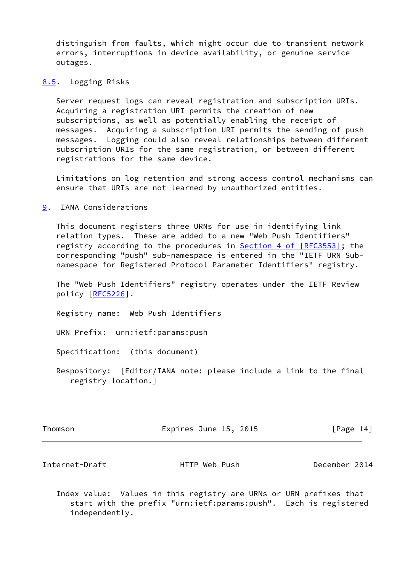distinguish from faults, which might occur due to transient network errors, interruptions in device availability, or genuine service outages.

<span id="page-15-0"></span>[8.5](#page-15-0). Logging Risks

 Server request logs can reveal registration and subscription URIs. Acquiring a registration URI permits the creation of new subscriptions, as well as potentially enabling the receipt of messages. Acquiring a subscription URI permits the sending of push messages. Logging could also reveal relationships between different subscription URIs for the same registration, or between different registrations for the same device.

 Limitations on log retention and strong access control mechanisms can ensure that URIs are not learned by unauthorized entities.

<span id="page-15-1"></span>[9](#page-15-1). IANA Considerations

 This document registers three URNs for use in identifying link relation types. These are added to a new "Web Push Identifiers" registry according to the procedures in **Section [4 of \[RFC3553\]](https://datatracker.ietf.org/doc/pdf/rfc3553#section-4)**; the corresponding "push" sub-namespace is entered in the "IETF URN Sub namespace for Registered Protocol Parameter Identifiers" registry.

 The "Web Push Identifiers" registry operates under the IETF Review policy [\[RFC5226](https://datatracker.ietf.org/doc/pdf/rfc5226)].

Registry name: Web Push Identifiers

URN Prefix: urn:ietf:params:push

Specification: (this document)

 Respository: [Editor/IANA note: please include a link to the final registry location.]

Expires June 15, 2015 [Page 14]

Internet-Draft HTTP Web Push December 2014

 Index value: Values in this registry are URNs or URN prefixes that start with the prefix "urn:ietf:params:push". Each is registered independently.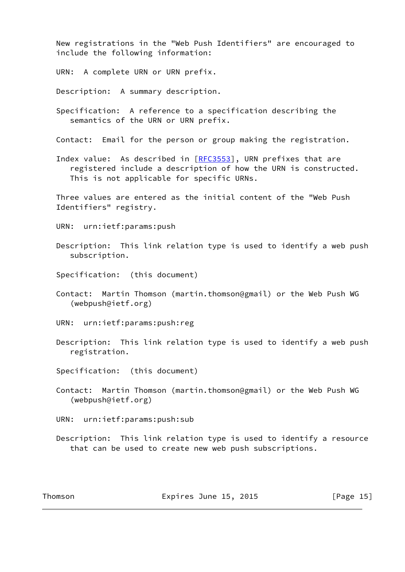New registrations in the "Web Push Identifiers" are encouraged to include the following information:

URN: A complete URN or URN prefix.

Description: A summary description.

 Specification: A reference to a specification describing the semantics of the URN or URN prefix.

Contact: Email for the person or group making the registration.

Index value: As described in [[RFC3553](https://datatracker.ietf.org/doc/pdf/rfc3553)], URN prefixes that are registered include a description of how the URN is constructed. This is not applicable for specific URNs.

 Three values are entered as the initial content of the "Web Push Identifiers" registry.

- URN: urn:ietf:params:push
- Description: This link relation type is used to identify a web push subscription.
- Specification: (this document)
- Contact: Martin Thomson (martin.thomson@gmail) or the Web Push WG (webpush@ietf.org)
- URN: urn:ietf:params:push:reg
- Description: This link relation type is used to identify a web push registration.
- Specification: (this document)
- Contact: Martin Thomson (martin.thomson@gmail) or the Web Push WG (webpush@ietf.org)

URN: urn:ietf:params:push:sub

 Description: This link relation type is used to identify a resource that can be used to create new web push subscriptions.

Thomson **Expires June 15, 2015** [Page 15]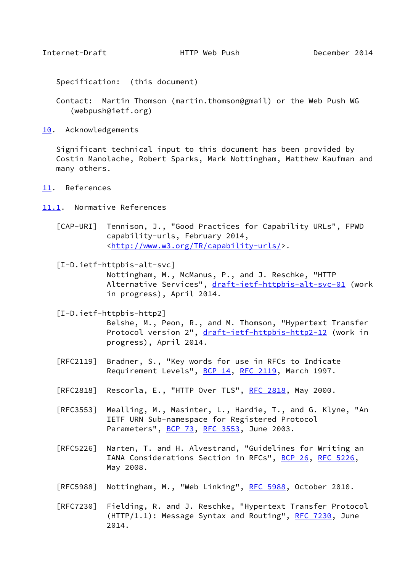<span id="page-17-1"></span>Specification: (this document)

- Contact: Martin Thomson (martin.thomson@gmail) or the Web Push WG (webpush@ietf.org)
- <span id="page-17-0"></span>[10.](#page-17-0) Acknowledgements

 Significant technical input to this document has been provided by Costin Manolache, Robert Sparks, Mark Nottingham, Matthew Kaufman and many others.

<span id="page-17-2"></span>[11.](#page-17-2) References

<span id="page-17-3"></span>[11.1](#page-17-3). Normative References

<span id="page-17-6"></span> [CAP-URI] Tennison, J., "Good Practices for Capability URLs", FPWD capability-urls, February 2014, <[http://www.w3.org/TR/capability-urls/>](http://www.w3.org/TR/capability-urls/).

<span id="page-17-5"></span> [I-D.ietf-httpbis-alt-svc] Nottingham, M., McManus, P., and J. Reschke, "HTTP Alternative Services", [draft-ietf-httpbis-alt-svc-01](https://datatracker.ietf.org/doc/pdf/draft-ietf-httpbis-alt-svc-01) (work in progress), April 2014.

<span id="page-17-4"></span>[I-D.ietf-httpbis-http2]

 Belshe, M., Peon, R., and M. Thomson, "Hypertext Transfer Protocol version 2", [draft-ietf-httpbis-http2-12](https://datatracker.ietf.org/doc/pdf/draft-ietf-httpbis-http2-12) (work in progress), April 2014.

- [RFC2119] Bradner, S., "Key words for use in RFCs to Indicate Requirement Levels", [BCP 14](https://datatracker.ietf.org/doc/pdf/bcp14), [RFC 2119](https://datatracker.ietf.org/doc/pdf/rfc2119), March 1997.
- [RFC2818] Rescorla, E., "HTTP Over TLS", [RFC 2818](https://datatracker.ietf.org/doc/pdf/rfc2818), May 2000.
- [RFC3553] Mealling, M., Masinter, L., Hardie, T., and G. Klyne, "An IETF URN Sub-namespace for Registered Protocol Parameters", [BCP 73](https://datatracker.ietf.org/doc/pdf/bcp73), [RFC 3553](https://datatracker.ietf.org/doc/pdf/rfc3553), June 2003.
- [RFC5226] Narten, T. and H. Alvestrand, "Guidelines for Writing an IANA Considerations Section in RFCs", [BCP 26](https://datatracker.ietf.org/doc/pdf/bcp26), [RFC 5226](https://datatracker.ietf.org/doc/pdf/rfc5226), May 2008.
- [RFC5988] Nottingham, M., "Web Linking", [RFC 5988](https://datatracker.ietf.org/doc/pdf/rfc5988), October 2010.
- [RFC7230] Fielding, R. and J. Reschke, "Hypertext Transfer Protocol  $(HTTP/1.1): Message Syntax and Routing", RFC 7230, June$  $(HTTP/1.1): Message Syntax and Routing", RFC 7230, June$  $(HTTP/1.1): Message Syntax and Routing", RFC 7230, June$ 2014.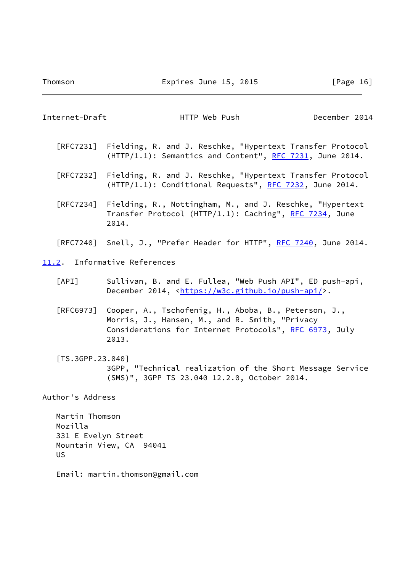$\overline{\phantom{a}}$ 

<span id="page-18-3"></span><span id="page-18-2"></span><span id="page-18-1"></span><span id="page-18-0"></span>

| Internet-Draft                                                | HTTP Web Push                                                                                                                                                             | December 2014 |  |
|---------------------------------------------------------------|---------------------------------------------------------------------------------------------------------------------------------------------------------------------------|---------------|--|
|                                                               | [RFC7231] Fielding, R. and J. Reschke, "Hypertext Transfer Protocol<br>(HTTP/1.1): Semantics and Content", RFC 7231, June 2014.                                           |               |  |
|                                                               | [RFC7232] Fielding, R. and J. Reschke, "Hypertext Transfer Protocol<br>(HTTP/1.1): Conditional Requests", RFC 7232, June 2014.                                            |               |  |
|                                                               | [RFC7234] Fielding, R., Nottingham, M., and J. Reschke, "Hypertext<br>Transfer Protocol (HTTP/1.1): Caching", RFC 7234, June<br>2014.                                     |               |  |
|                                                               | [RFC7240] Snell, J., "Prefer Header for HTTP", RFC 7240, June 2014.                                                                                                       |               |  |
|                                                               | 11.2. Informative References                                                                                                                                              |               |  |
| $\lceil \text{API} \rceil$                                    | Sullivan, B. and E. Fullea, "Web Push API", ED push-api,<br>December 2014, <https: push-api="" w3c.github.io=""></https:> .                                               |               |  |
| [RFC6973]                                                     | Cooper, A., Tschofenig, H., Aboba, B., Peterson, J.,<br>Morris, J., Hansen, M., and R. Smith, "Privacy<br>Considerations for Internet Protocols", RFC 6973, July<br>2013. |               |  |
| [TS.3GPP.23.040]                                              | 3GPP, "Technical realization of the Short Message Service<br>(SMS)", 3GPP TS 23.040 12.2.0, October 2014.                                                                 |               |  |
| Author's Address                                              |                                                                                                                                                                           |               |  |
| Martin Thomson<br>Mozilla<br>331 E Evelyn Street<br><b>US</b> | Mountain View, CA 94041                                                                                                                                                   |               |  |
|                                                               | Email: martin.thomson@gmail.com                                                                                                                                           |               |  |